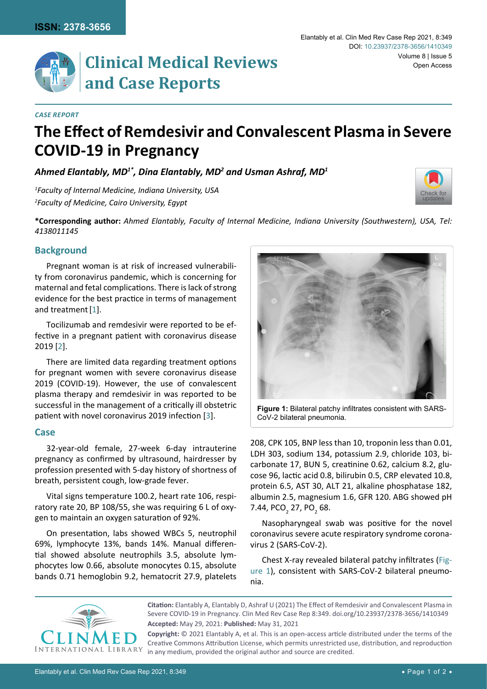**Clinical Medical Reviews and Case Reports**

#### *Case Report*

# **The Effect of Remdesivir and Convalescent Plasma in Severe COVID-19 in Pregnancy**

*Ahmed Elantably, MD1\*, Dina Elantably, MD2 and Usman Ashraf, MD1*

*1 Faculty of Internal Medicine, Indiana University, USA 2 Faculty of Medicine, Cairo University, Egypt*



**\*Corresponding author:** *Ahmed Elantably, Faculty of Internal Medicine, Indiana University (Southwestern), USA, Tel: 4138011145*

#### **Background**

Pregnant woman is at risk of increased vulnerability from coronavirus pandemic, which is concerning for maternal and fetal complications. There is lack of strong evidence for the best practice in terms of management and treatment[\[1](#page-1-0)].

Tocilizumab and remdesivir were reported to be effective in a pregnant patient with coronavirus disease 2019 [[2](#page-1-1)].

There are limited data regarding treatment options for pregnant women with severe coronavirus disease 2019 (COVID-19). However, the use of convalescent plasma therapy and remdesivir in was reported to be successful in the management of a critically ill obstetric patient with novel coronavirus 2019 infection [[3](#page-1-2)].

#### **Case**

32-year-old female, 27-week 6-day intrauterine pregnancy as confirmed by ultrasound, hairdresser by profession presented with 5-day history of shortness of breath, persistent cough, low-grade fever.

Vital signs temperature 100.2, heart rate 106, respiratory rate 20, BP 108/55, she was requiring 6 L of oxygen to maintain an oxygen saturation of 92%.

On presentation, labs showed WBCs 5, neutrophil 69%, lymphocyte 13%, bands 14%. Manual differential showed absolute neutrophils 3.5, absolute lymphocytes low 0.66, absolute monocytes 0.15, absolute bands 0.71 hemoglobin 9.2, hematocrit 27.9, platelets

<span id="page-0-0"></span>

**Figure 1:** Bilateral patchy infiltrates consistent with SARS-CoV-2 bilateral pneumonia.

208, CPK 105, BNP less than 10, troponin less than 0.01, LDH 303, sodium 134, potassium 2.9, chloride 103, bicarbonate 17, BUN 5, creatinine 0.62, calcium 8.2, glucose 96, lactic acid 0.8, bilirubin 0.5, CRP elevated 10.8, protein 6.5, AST 30, ALT 21, alkaline phosphatase 182, albumin 2.5, magnesium 1.6, GFR 120. ABG showed pH 7.44, PCO<sub>2</sub> 27, PO<sub>2</sub> 68.

Nasopharyngeal swab was positive for the novel coronavirus severe acute respiratory syndrome coronavirus 2 (SARS-CoV-2).

Chest X-ray revealed bilateral patchy infiltrates ([Fig](#page-0-0)[ure 1\)](#page-0-0), consistent with SARS-CoV-2 bilateral pneumonia.



**Accepted:** May 29, 2021: **Published:** May 31, 2021 **Citation:** Elantably A, Elantably D, Ashraf U (2021) The Effect of Remdesivir and Convalescent Plasma in Severe COVID-19 in Pregnancy. Clin Med Rev Case Rep 8:349. [doi.org/10.23937/2378-3656/1410349](https://doi.org/10.23937/2378-3656/1410349)

**Copyright:** © 2021 Elantably A, et al. This is an open-access article distributed under the terms of the Creative Commons Attribution License, which permits unrestricted use, distribution, and reproduction in any medium, provided the original author and source are credited.